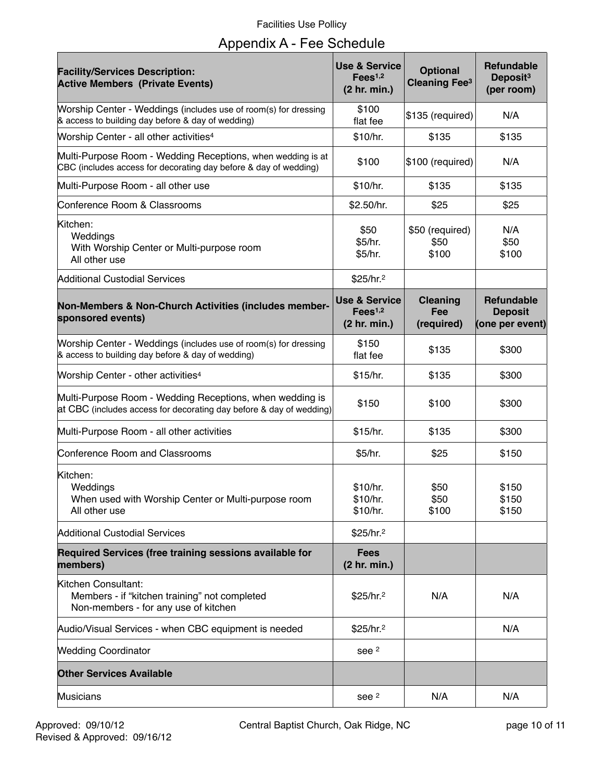## Facilities Use Pollicy

|  |  |  | Appendix A - Fee Schedule |
|--|--|--|---------------------------|
|--|--|--|---------------------------|

| <b>Facility/Services Description:</b><br><b>Active Members (Private Events)</b>                                                 | <b>Use &amp; Service</b><br>Fees <sup>1,2</sup><br>(2 hr. min.) | <b>Optional</b><br><b>Cleaning Fee<sup>3</sup></b> | <b>Refundable</b><br>Deposit <sup>3</sup><br>(per room) |
|---------------------------------------------------------------------------------------------------------------------------------|-----------------------------------------------------------------|----------------------------------------------------|---------------------------------------------------------|
| Worship Center - Weddings (includes use of room(s) for dressing<br>& access to building day before & day of wedding)            | \$100<br>flat fee                                               | \$135 (required)                                   | N/A                                                     |
| Worship Center - all other activities <sup>4</sup>                                                                              | \$10/hr.                                                        | \$135                                              | \$135                                                   |
| Multi-Purpose Room - Wedding Receptions, when wedding is at<br>CBC (includes access for decorating day before & day of wedding) | \$100                                                           | \$100 (required)                                   | N/A                                                     |
| Multi-Purpose Room - all other use                                                                                              | \$10/hr.                                                        | \$135                                              | \$135                                                   |
| Conference Room & Classrooms                                                                                                    | \$2.50/hr.                                                      | \$25                                               | \$25                                                    |
| Kitchen:<br>Weddings<br>With Worship Center or Multi-purpose room<br>All other use                                              | \$50<br>\$5/hr.<br>\$5/hr.                                      | \$50 (required)<br>\$50<br>\$100                   | N/A<br>\$50<br>\$100                                    |
| Additional Custodial Services                                                                                                   | \$25/hr. <sup>2</sup>                                           |                                                    |                                                         |
| Non-Members & Non-Church Activities (includes member-<br>sponsored events)                                                      | <b>Use &amp; Service</b><br>Fees <sup>1,2</sup><br>(2 hr. min.) | <b>Cleaning</b><br>Fee<br>(required)               | <b>Refundable</b><br><b>Deposit</b><br>(one per event)  |
| Worship Center - Weddings (includes use of room(s) for dressing<br>& access to building day before & day of wedding)            | \$150<br>flat fee                                               | \$135                                              | \$300                                                   |
| Worship Center - other activities <sup>4</sup>                                                                                  | \$15/hr.                                                        | \$135                                              | \$300                                                   |
| Multi-Purpose Room - Wedding Receptions, when wedding is<br>at CBC (includes access for decorating day before & day of wedding) | \$150                                                           | \$100                                              | \$300                                                   |
| Multi-Purpose Room - all other activities                                                                                       | \$15/hr.                                                        | \$135                                              | \$300                                                   |
| Conference Room and Classrooms                                                                                                  | \$5/hr.                                                         | \$25                                               | \$150                                                   |
| Kitchen:<br>Weddings<br>When used with Worship Center or Multi-purpose room<br>All other use                                    | \$10/hr.<br>\$10/hr.<br>\$10/hr.                                | \$50<br>\$50<br>\$100                              | \$150<br>\$150<br>\$150                                 |
| Additional Custodial Services                                                                                                   | \$25/hr.2                                                       |                                                    |                                                         |
| Required Services (free training sessions available for<br>members)                                                             | <b>Fees</b><br>(2 hr. min.)                                     |                                                    |                                                         |
| Kitchen Consultant:<br>Members - if "kitchen training" not completed<br>Non-members - for any use of kitchen                    | \$25/hr. <sup>2</sup>                                           | N/A                                                | N/A                                                     |
| Audio/Visual Services - when CBC equipment is needed                                                                            | \$25/hr. <sup>2</sup>                                           |                                                    | N/A                                                     |
| <b>Wedding Coordinator</b>                                                                                                      | see 2                                                           |                                                    |                                                         |
| <b>Other Services Available</b>                                                                                                 |                                                                 |                                                    |                                                         |
| Musicians                                                                                                                       | see 2                                                           | N/A                                                | N/A                                                     |